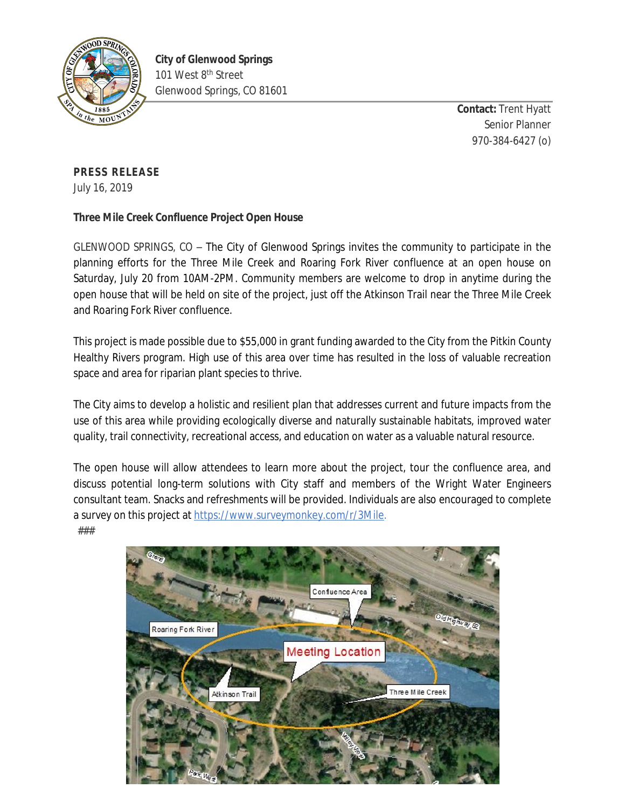

**Contact:** Trent Hyatt Senior Planner 970-384-6427 (o)

## **PRESS RELEASE**

July 16, 2019

## **Three Mile Creek Confluence Project Open House**

GLENWOOD SPRINGS, CO – The City of Glenwood Springs invites the community to participate in the planning efforts for the Three Mile Creek and Roaring Fork River confluence at an open house on Saturday, July 20 from 10AM-2PM. Community members are welcome to drop in anytime during the open house that will be held on site of the project, just off the Atkinson Trail near the Three Mile Creek and Roaring Fork River confluence.

This project is made possible due to \$55,000 in grant funding awarded to the City from the Pitkin County Healthy Rivers program. High use of this area over time has resulted in the loss of valuable recreation space and area for riparian plant species to thrive.

The City aims to develop a holistic and resilient plan that addresses current and future impacts from the use of this area while providing ecologically diverse and naturally sustainable habitats, improved water quality, trail connectivity, recreational access, and education on water as a valuable natural resource.

The open house will allow attendees to learn more about the project, tour the confluence area, and discuss potential long-term solutions with City staff and members of the Wright Water Engineers consultant team. Snacks and refreshments will be provided. Individuals are also encouraged to complete a survey on this project at <https://www.surveymonkey.com/r/3Mile>.

###